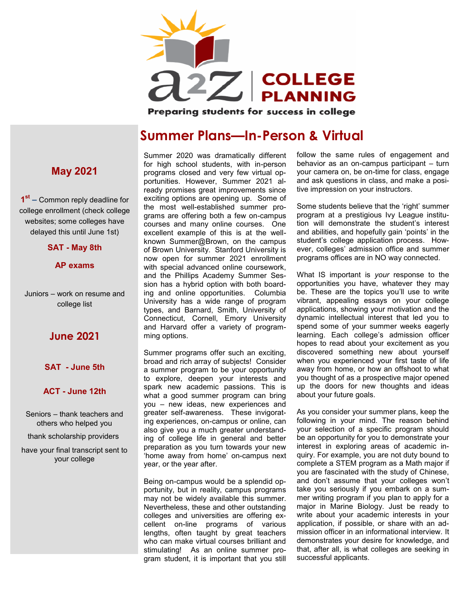

Preparing students for success in college

## **Summer Plans—In-Person & Virtual**

# **1 st –** Common reply deadline for college enrollment (check college websites; some colleges have delayed this until June 1st) **SAT - May 8th**

Juniors – work on resume and college list

**AP exams** 

**May 2021**

#### **June 2021**

#### **SAT - June 5th**

#### **ACT - June 12th**

- Seniors thank teachers and others who helped you
- thank scholarship providers

have your final transcript sent to your college

for high school students, with in-person programs closed and very few virtual opportunities. However, Summer 2021 already promises great improvements since exciting options are opening up. Some of the most well-established summer programs are offering both a few on-campus courses and many online courses. One excellent example of this is at the wellknown Summer@Brown, on the campus of Brown University. Stanford University is now open for summer 2021 enrollment with special advanced online coursework, and the Phillips Academy Summer Session has a hybrid option with both boarding and online opportunities. Columbia University has a wide range of program types, and Barnard, Smith, University of Connecticut, Cornell, Emory University and Harvard offer a variety of programming options.

Summer 2020 was dramatically different

Summer programs offer such an exciting, broad and rich array of subjects! Consider a summer program to be your opportunity to explore, deepen your interests and spark new academic passions. This is what a good summer program can bring you – new ideas, new experiences and greater self-awareness. These invigorating experiences, on-campus or online, can also give you a much greater understanding of college life in general and better preparation as you turn towards your new 'home away from home' on-campus next year, or the year after.

Being on-campus would be a splendid opportunity, but in reality, campus programs may not be widely available this summer. Nevertheless, these and other outstanding colleges and universities are offering excellent on-line programs of various lengths, often taught by great teachers who can make virtual courses brilliant and stimulating! As an online summer program student, it is important that you still follow the same rules of engagement and behavior as an on-campus participant – turn your camera on, be on-time for class, engage and ask questions in class, and make a positive impression on your instructors.

Some students believe that the 'right' summer program at a prestigious Ivy League institution will demonstrate the student's interest and abilities, and hopefully gain 'points' in the student's college application process. However, colleges' admission office and summer programs offices are in NO way connected.

What IS important is *your* response to the opportunities you have, whatever they may be. These are the topics you'll use to write vibrant, appealing essays on your college applications, showing your motivation and the dynamic intellectual interest that led you to spend some of your summer weeks eagerly learning. Each college's admission officer hopes to read about your excitement as you discovered something new about yourself when you experienced your first taste of life away from home, or how an offshoot to what you thought of as a prospective major opened up the doors for new thoughts and ideas about your future goals.

As you consider your summer plans, keep the following in your mind. The reason behind your selection of a specific program should be an opportunity for you to demonstrate your interest in exploring areas of academic inquiry. For example, you are not duty bound to complete a STEM program as a Math major if you are fascinated with the study of Chinese, and don't assume that your colleges won't take you seriously if you embark on a summer writing program if you plan to apply for a major in Marine Biology. Just be ready to write about your academic interests in your application, if possible, or share with an admission officer in an informational interview. It demonstrates your desire for knowledge, and that, after all, is what colleges are seeking in successful applicants.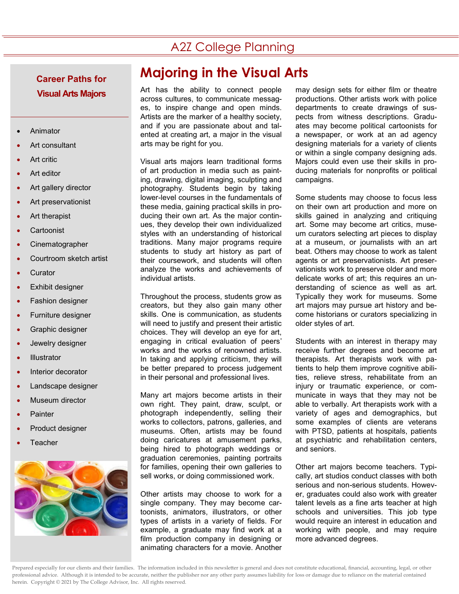### A2Z College Planning

# **Visual Arts Majors**

- Animator
- Art consultant
- Art critic
- **Art editor**
- Art gallery director
- Art preservationist
- Art therapist
- **Cartoonist**
- **Cinematographer**
- Courtroom sketch artist
- **Curator**
- Exhibit designer
- Fashion designer
- Furniture designer
- Graphic designer
- Jewelry designer
- **Illustrator**
- Interior decorator
- Landscape designer
- Museum director
- **Painter**
- Product designer
- **Teacher**



# **Majoring in the Visual Arts Career Paths for**

Art has the ability to connect people across cultures, to communicate messages, to inspire change and open minds. Artists are the marker of a healthy society, and if you are passionate about and talented at creating art, a major in the visual arts may be right for you.

Visual arts majors learn traditional forms of art production in media such as painting, drawing, digital imaging, sculpting and photography. Students begin by taking lower-level courses in the fundamentals of these media, gaining practical skills in producing their own art. As the major continues, they develop their own individualized styles with an understanding of historical traditions. Many major programs require students to study art history as part of their coursework, and students will often analyze the works and achievements of individual artists.

Throughout the process, students grow as creators, but they also gain many other skills. One is communication, as students will need to justify and present their artistic choices. They will develop an eye for art, engaging in critical evaluation of peers' works and the works of renowned artists. In taking and applying criticism, they will be better prepared to process judgement in their personal and professional lives.

Many art majors become artists in their own right. They paint, draw, sculpt, or photograph independently, selling their works to collectors, patrons, galleries, and museums. Often, artists may be found doing caricatures at amusement parks, being hired to photograph weddings or graduation ceremonies, painting portraits for families, opening their own galleries to sell works, or doing commissioned work.

Other artists may choose to work for a single company. They may become cartoonists, animators, illustrators, or other types of artists in a variety of fields. For example, a graduate may find work at a film production company in designing or animating characters for a movie. Another

may design sets for either film or theatre productions. Other artists work with police departments to create drawings of suspects from witness descriptions. Graduates may become political cartoonists for a newspaper, or work at an ad agency designing materials for a variety of clients or within a single company designing ads. Majors could even use their skills in producing materials for nonprofits or political campaigns.

Some students may choose to focus less on their own art production and more on skills gained in analyzing and critiquing art. Some may become art critics, museum curators selecting art pieces to display at a museum, or journalists with an art beat. Others may choose to work as talent agents or art preservationists. Art preservationists work to preserve older and more delicate works of art; this requires an understanding of science as well as art. Typically they work for museums. Some art majors may pursue art history and become historians or curators specializing in older styles of art.

Students with an interest in therapy may receive further degrees and become art therapists. Art therapists work with patients to help them improve cognitive abilities, relieve stress, rehabilitate from an injury or traumatic experience, or communicate in ways that they may not be able to verbally. Art therapists work with a variety of ages and demographics, but some examples of clients are veterans with PTSD, patients at hospitals, patients at psychiatric and rehabilitation centers, and seniors.

Other art majors become teachers. Typically, art studios conduct classes with both serious and non-serious students. However, graduates could also work with greater talent levels as a fine arts teacher at high schools and universities. This job type would require an interest in education and working with people, and may require more advanced degrees.

Prepared especially for our clients and their families. The information included in this newsletter is general and does not constitute educational, financial, accounting, legal, or other professional advice. Although it is intended to be accurate, neither the publisher nor any other party assumes liability for loss or damage due to reliance on the material contained herein. Copyright © 2021 by The College Advisor, Inc. All rights reserved.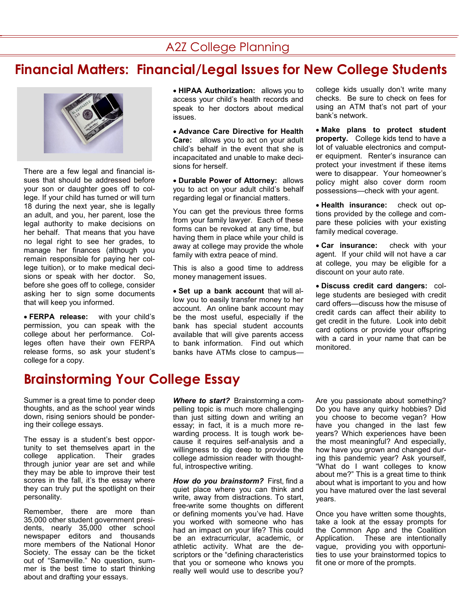#### A2Z College Planning

## **Financial Matters: Financial/Legal Issues for New College Students**



There are a few legal and financial issues that should be addressed before your son or daughter goes off to college. If your child has turned or will turn 18 during the next year, she is legally an adult, and you, her parent, lose the legal authority to make decisions on her behalf. That means that you have no legal right to see her grades, to manage her finances (although you remain responsible for paying her college tuition), or to make medical decisions or speak with her doctor. So, before she goes off to college, consider asking her to sign some documents that will keep you informed.

• **FERPA release:** with your child's permission, you can speak with the college about her performance. Colleges often have their own FERPA release forms, so ask your student's college for a copy.

• **HIPAA Authorization:** allows you to access your child's health records and speak to her doctors about medical issues.

• **Advance Care Directive for Health Care:** allows you to act on your adult child's behalf in the event that she is incapacitated and unable to make decisions for herself.

• **Durable Power of Attorney:** allows you to act on your adult child's behalf regarding legal or financial matters.

You can get the previous three forms from your family lawyer. Each of these forms can be revoked at any time, but having them in place while your child is away at college may provide the whole family with extra peace of mind.

This is also a good time to address money management issues.

• **Set up a bank account** that will allow you to easily transfer money to her account. An online bank account may be the most useful, especially if the bank has special student accounts available that will give parents access to bank information. Find out which banks have ATMs close to campus—

college kids usually don't write many checks. Be sure to check on fees for using an ATM that's not part of your bank's network.

• **Make plans to protect student property.** College kids tend to have a lot of valuable electronics and computer equipment. Renter's insurance can protect your investment if these items were to disappear. Your homeowner's policy might also cover dorm room possessions—check with your agent.

• **Health insurance:** check out options provided by the college and compare these policies with your existing family medical coverage.

• **Car insurance:** check with your agent. If your child will not have a car at college, you may be eligible for a discount on your auto rate.

• **Discuss credit card dangers:** college students are besieged with credit card offers—discuss how the misuse of credit cards can affect their ability to get credit in the future. Look into debit card options or provide your offspring with a card in your name that can be monitored.

### **Brainstorming Your College Essay**

Summer is a great time to ponder deep thoughts, and as the school year winds down, rising seniors should be pondering their college essays.

The essay is a student's best opportunity to set themselves apart in the college application. Their grades through junior year are set and while they may be able to improve their test scores in the fall, it's the essay where they can truly put the spotlight on their personality.

Remember, there are more than 35,000 other student government presidents, nearly 35,000 other school newspaper editors and thousands more members of the National Honor Society. The essay can be the ticket out of "Sameville." No question, summer is the best time to start thinking about and drafting your essays.

*Where to start?* Brainstorming a compelling topic is much more challenging than just sitting down and writing an essay; in fact, it is a much more rewarding process. It is tough work because it requires self-analysis and a willingness to dig deep to provide the college admission reader with thoughtful, introspective writing.

*How do you brainstorm?* First, find a quiet place where you can think and write, away from distractions. To start, free-write some thoughts on different or defining moments you've had. Have you worked with someone who has had an impact on your life? This could be an extracurricular, academic, or athletic activity. What are the descriptors or the "defining characteristics that you or someone who knows you really well would use to describe you?

Are you passionate about something? Do you have any quirky hobbies? Did you choose to become vegan? How have you changed in the last few years? Which experiences have been the most meaningful? And especially, how have you grown and changed during this pandemic year? Ask yourself, "What do I want colleges to know about me?" This is a great time to think about what is important to you and how you have matured over the last several years.

Once you have written some thoughts, take a look at the essay prompts for the Common App and the Coalition Application. These are intentionally vague, providing you with opportunities to use your brainstormed topics to fit one or more of the prompts.